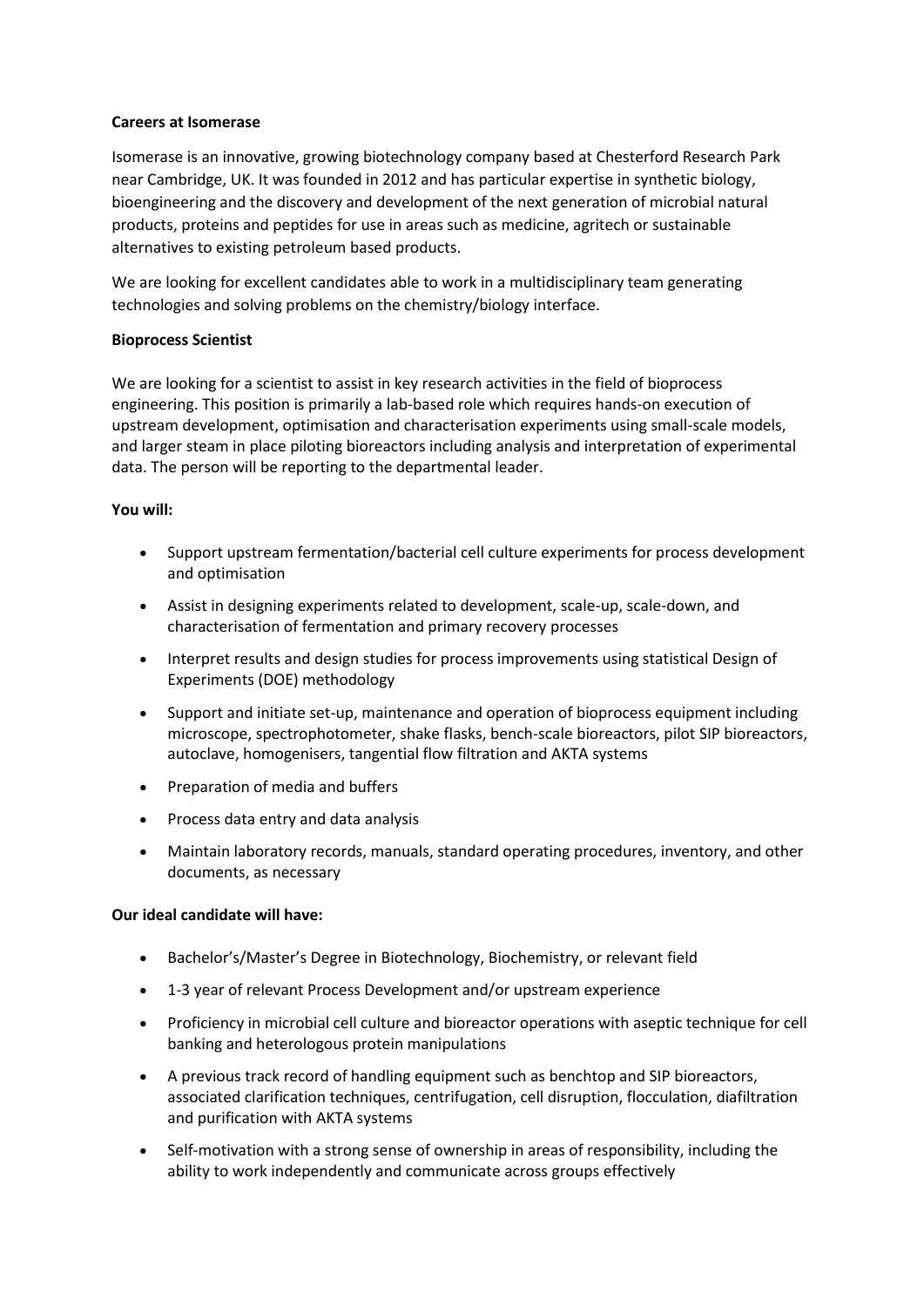# **Careers at Isomerase**

Isomerase is an innovative, growing biotechnology company based at Chesterford Research Park near Cambridge, UK. It was founded in 2012 and has particular expertise in synthetic biology, bioengineering and the discovery and development of the next generation of microbial natural products, proteins and peptides for use in areas such as medicine, agritech or sustainable alternatives to existing petroleum based products.

We are looking for excellent candidates able to work in a multidisciplinary team generating technologies and solving problems on the chemistry/biology interface.

# **Bioprocess Scientist**

We are looking for a scientist to assist in key research activities in the field of bioprocess engineering. This position is primarily a lab-based role which requires hands-on execution of upstream development, optimisation and characterisation experiments using small-scale models, and larger steam in place piloting bioreactors including analysis and interpretation of experimental data. The person will be reporting to the departmental leader.

# **You will:**

- Support upstream fermentation/bacterial cell culture experiments for process development and optimisation
- Assist in designing experiments related to development, scale-up, scale-down, and characterisation of fermentation and primary recovery processes
- Interpret results and design studies for process improvements using statistical Design of Experiments (DOE) methodology
- Support and initiate set-up, maintenance and operation of bioprocess equipment including microscope, spectrophotometer, shake flasks, bench-scale bioreactors, pilot SIP bioreactors, autoclave, homogenisers, tangential flow filtration and AKTA systems
- Preparation of media and buffers
- Process data entry and data analysis
- Maintain laboratory records, manuals, standard operating procedures, inventory, and other documents, as necessary

# **Our ideal candidate will have:**

- Bachelor's/Master's Degree in Biotechnology, Biochemistry, or relevant field
- 1-3 year of relevant Process Development and/or upstream experience
- Proficiency in microbial cell culture and bioreactor operations with aseptic technique for cell banking and heterologous protein manipulations
- A previous track record of handling equipment such as benchtop and SIP bioreactors, associated clarification techniques, centrifugation, cell disruption, flocculation, diafiltration and purification with AKTA systems
- Self-motivation with a strong sense of ownership in areas of responsibility, including the ability to work independently and communicate across groups effectively